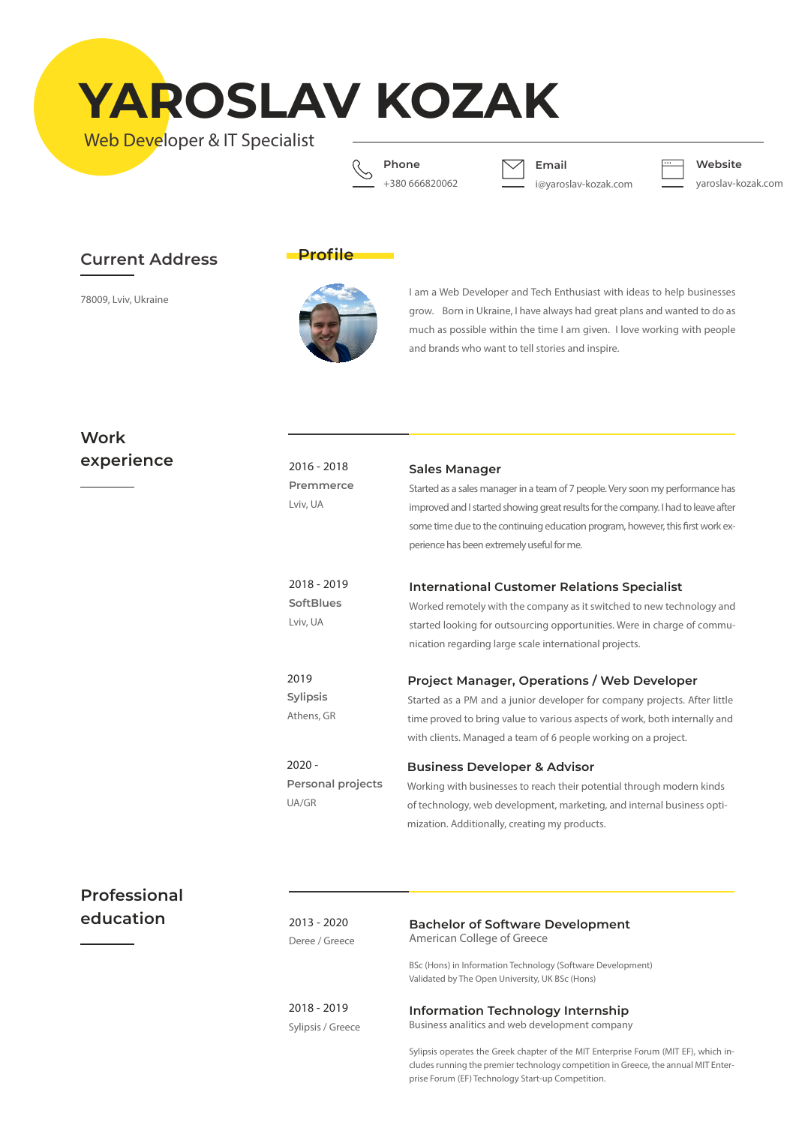**YAROSLAV KOZAK**

Web Developer & IT Specialist



**Email**

i@yaroslav-kozak.com

**Website**

yaroslav-kozak.com

## **Current Address**

78009, Lviv, Ukraine



**Profile** 

I am a Web Developer and Tech Enthusiast with ideas to help businesses grow. Born in Ukraine, I have always had great plans and wanted to do as much as possible within the time I am given. I love working with people and brands who want to tell stories and inspire.

# **Work experience**

| e | $2016 - 2018$<br>Premmerce<br>Lviv, UA      | Sales Manager<br>Started as a sales manager in a team of 7 people. Very soon my performance has<br>improved and I started showing great results for the company. I had to leave after<br>some time due to the continuing education program, however, this first work ex-<br>perience has been extremely useful for me. |
|---|---------------------------------------------|------------------------------------------------------------------------------------------------------------------------------------------------------------------------------------------------------------------------------------------------------------------------------------------------------------------------|
|   | 2018 - 2019<br><b>SoftBlues</b><br>Lviv, UA | <b>International Customer Relations Specialist</b><br>Worked remotely with the company as it switched to new technology and<br>started looking for outsourcing opportunities. Were in charge of commu-<br>nication regarding large scale international projects.                                                       |
|   | 2019<br><b>Sylipsis</b><br>Athens, GR       | <b>Project Manager, Operations / Web Developer</b><br>Started as a PM and a junior developer for company projects. After little<br>time proved to bring value to various aspects of work, both internally and<br>with clients. Managed a team of 6 people working on a project.                                        |
|   | $2020 -$<br>Personal projects<br>UA/GR      | <b>Business Developer &amp; Advisor</b><br>Working with businesses to reach their potential through modern kinds<br>of technology, web development, marketing, and internal business opti-<br>mization. Additionally, creating my products.                                                                            |

## **Professional education**

2013 - 2020 Deree / Greece

### **Bachelor of Software Development** American College of Greece

BSc (Hons) in Information Technology (Software Development) Validated by The Open University, UK BSc (Hons)

2018 - 2019 Sylipsis / Greece

### **Information Technology Internship**  Business analitics and web development company

Sylipsis operates the Greek chapter of the MIT Enterprise Forum (MIT EF), which includes running the premier technology competition in Greece, the annual MIT Enterprise Forum (EF) Technology Start-up Competition.